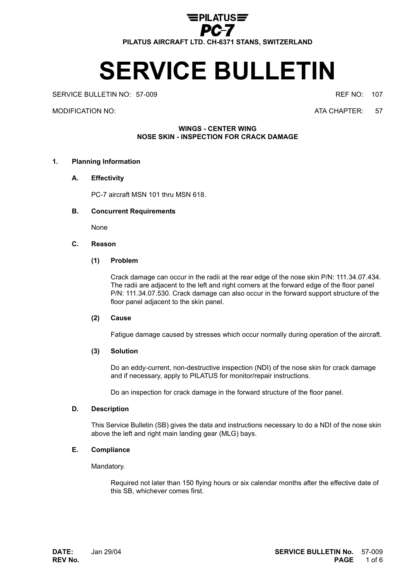

# **SERVICE BULLETIN**

SERVICE BULLETIN NO: 57-009 **REF NO: 107** REF NO: 107

MODIFICATION NO: ATA CHAPTER: 57

**WINGS - CENTER WING NOSE SKIN - INSPECTION FOR CRACK DAMAGE**

#### **1. Planning Information**

#### **A. Effectivity**

PC-7 aircraft MSN 101 thru MSN 618.

#### **B. Concurrent Requirements**

None

#### **C. Reason**

## **(1) Problem**

Crack damage can occur in the radii at the rear edge of the nose skin P/N: 111.34.07.434. The radii are adjacent to the left and right corners at the forward edge of the floor panel P/N: 111.34.07.530. Crack damage can also occur in the forward support structure of the floor panel adjacent to the skin panel.

#### **(2) Cause**

Fatigue damage caused by stresses which occur normally during operation of the aircraft.

#### **(3) Solution**

Do an eddy-current, non-destructive inspection (NDI) of the nose skin for crack damage and if necessary, apply to PILATUS for monitor/repair instructions.

Do an inspection for crack damage in the forward structure of the floor panel.

#### **D. Description**

This Service Bulletin (SB) gives the data and instructions necessary to do a NDI of the nose skin above the left and right main landing gear (MLG) bays.

#### **E. Compliance**

Mandatory.

Required not later than 150 flying hours or six calendar months after the effective date of this SB, whichever comes first.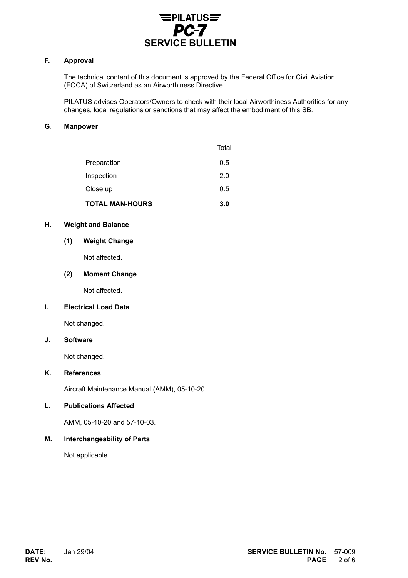

## **F. Approval**

The technical content of this document is approved by the Federal Office for Civil Aviation (FOCA) of Switzerland as an Airworthiness Directive.

PILATUS advises Operators/Owners to check with their local Airworthiness Authorities for any changes, local regulations or sanctions that may affect the embodiment of this SB.

## **G. Manpower**

| <b>TOTAL MAN-HOURS</b> | 3.0   |
|------------------------|-------|
| Close up               | 0.5   |
| Inspection             | 2.0   |
| Preparation            | 0.5   |
|                        | Total |

#### **H. Weight and Balance**

#### **(1) Weight Change**

Not affected.

#### **(2) Moment Change**

Not affected.

#### **I. Electrical Load Data**

Not changed.

#### **J. Software**

Not changed.

# **K. References**

Aircraft Maintenance Manual (AMM), 05-10-20.

#### **L. Publications Affected**

AMM, 05-10-20 and 57-10-03.

#### **M. Interchangeability of Parts**

Not applicable.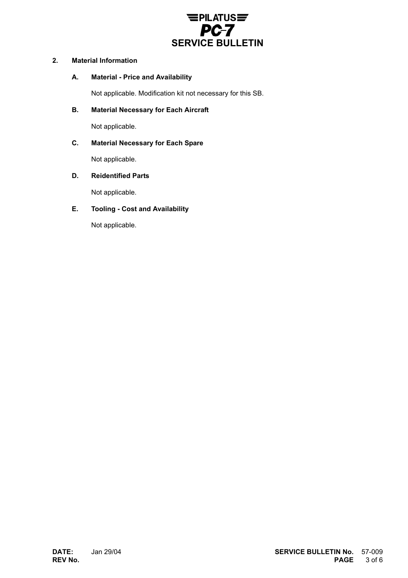

## **2. Material Information**

#### **A. Material - Price and Availability**

Not applicable. Modification kit not necessary for this SB.

# **B. Material Necessary for Each Aircraft**

Not applicable.

# **C. Material Necessary for Each Spare**

Not applicable.

## **D. Reidentified Parts**

Not applicable.

# **E. Tooling - Cost and Availability**

Not applicable.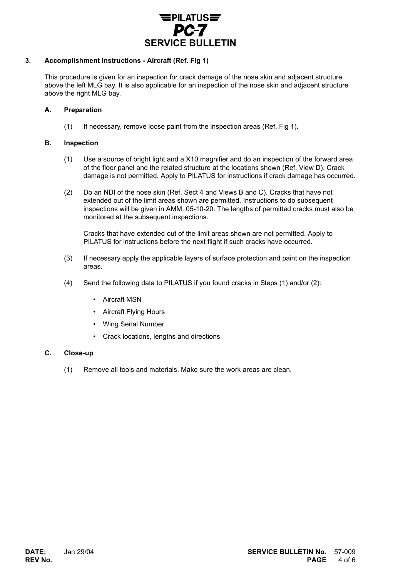

#### **3. Accomplishment Instructions - Aircraft (Ref. Fig 1)**

This procedure is given for an inspection for crack damage of the nose skin and adjacent structure above the left MLG bay. It is also applicable for an inspection of the nose skin and adjacent structure above the right MLG bay.

#### **A. Preparation**

(1) If necessary, remove loose paint from the inspection areas (Ref. Fig 1).

#### **B. Inspection**

- (1) Use a source of bright light and a X10 magnifier and do an inspection of the forward area of the floor panel and the related structure at the locations shown (Ref. View D). Crack damage is not permitted. Apply to PILATUS for instructions if crack damage has occurred.
- (2) Do an NDI of the nose skin (Ref. Sect 4 and Views B and C). Cracks that have not extended out of the limit areas shown are permitted. Instructions to do subsequent inspections will be given in AMM, 05-10-20. The lengths of permitted cracks must also be monitored at the subsequent inspections.

Cracks that have extended out of the limit areas shown are not permitted. Apply to PILATUS for instructions before the next flight if such cracks have occurred.

- (3) If necessary apply the applicable layers of surface protection and paint on the inspection areas.
- (4) Send the following data to PILATUS if you found cracks in Steps (1) and/or (2):
	- Aircraft MSN
	- Aircraft Flying Hours
	- Wing Serial Number
	- Crack locations, lengths and directions

#### **C. Close-up**

(1) Remove all tools and materials. Make sure the work areas are clean.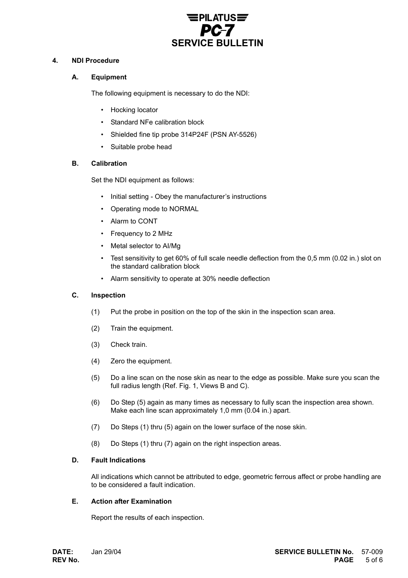

## **4. NDI Procedure**

## **A. Equipment**

The following equipment is necessary to do the NDI:

- Hocking locator
- Standard NFe calibration block
- Shielded fine tip probe 314P24F (PSN AY-5526)
- Suitable probe head

#### **B. Calibration**

Set the NDI equipment as follows:

- Initial setting Obey the manufacturer's instructions
- Operating mode to NORMAL
- Alarm to CONT
- Frequency to 2 MHz
- Metal selector to AI/Mg
- Test sensitivity to get 60% of full scale needle deflection from the 0,5 mm (0.02 in.) slot on the standard calibration block
- Alarm sensitivity to operate at 30% needle deflection

#### **C. Inspection**

- (1) Put the probe in position on the top of the skin in the inspection scan area.
- (2) Train the equipment.
- (3) Check train.
- (4) Zero the equipment.
- (5) Do a line scan on the nose skin as near to the edge as possible. Make sure you scan the full radius length (Ref. Fig. 1, Views B and C).
- (6) Do Step (5) again as many times as necessary to fully scan the inspection area shown. Make each line scan approximately 1,0 mm (0.04 in.) apart.
- (7) Do Steps (1) thru (5) again on the lower surface of the nose skin.
- (8) Do Steps (1) thru (7) again on the right inspection areas.

#### **D. Fault Indications**

All indications which cannot be attributed to edge, geometric ferrous affect or probe handling are to be considered a fault indication.

#### **E. Action after Examination**

Report the results of each inspection.